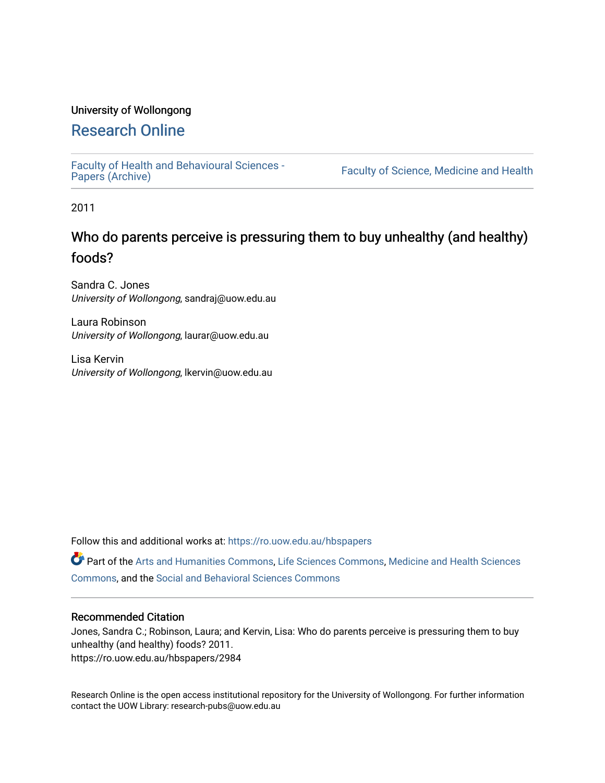## University of Wollongong

## [Research Online](https://ro.uow.edu.au/)

[Faculty of Health and Behavioural Sciences -](https://ro.uow.edu.au/hbspapers)<br>Papers (Archive)

Faculty of Science, Medicine and Health

2011

# Who do parents perceive is pressuring them to buy unhealthy (and healthy) foods?

Sandra C. Jones University of Wollongong, sandraj@uow.edu.au

Laura Robinson University of Wollongong, laurar@uow.edu.au

Lisa Kervin University of Wollongong, lkervin@uow.edu.au

Follow this and additional works at: [https://ro.uow.edu.au/hbspapers](https://ro.uow.edu.au/hbspapers?utm_source=ro.uow.edu.au%2Fhbspapers%2F2984&utm_medium=PDF&utm_campaign=PDFCoverPages) 

Part of the [Arts and Humanities Commons,](http://network.bepress.com/hgg/discipline/438?utm_source=ro.uow.edu.au%2Fhbspapers%2F2984&utm_medium=PDF&utm_campaign=PDFCoverPages) [Life Sciences Commons,](http://network.bepress.com/hgg/discipline/1016?utm_source=ro.uow.edu.au%2Fhbspapers%2F2984&utm_medium=PDF&utm_campaign=PDFCoverPages) [Medicine and Health Sciences](http://network.bepress.com/hgg/discipline/648?utm_source=ro.uow.edu.au%2Fhbspapers%2F2984&utm_medium=PDF&utm_campaign=PDFCoverPages) [Commons](http://network.bepress.com/hgg/discipline/648?utm_source=ro.uow.edu.au%2Fhbspapers%2F2984&utm_medium=PDF&utm_campaign=PDFCoverPages), and the [Social and Behavioral Sciences Commons](http://network.bepress.com/hgg/discipline/316?utm_source=ro.uow.edu.au%2Fhbspapers%2F2984&utm_medium=PDF&utm_campaign=PDFCoverPages)

#### Recommended Citation

Jones, Sandra C.; Robinson, Laura; and Kervin, Lisa: Who do parents perceive is pressuring them to buy unhealthy (and healthy) foods? 2011. https://ro.uow.edu.au/hbspapers/2984

Research Online is the open access institutional repository for the University of Wollongong. For further information contact the UOW Library: research-pubs@uow.edu.au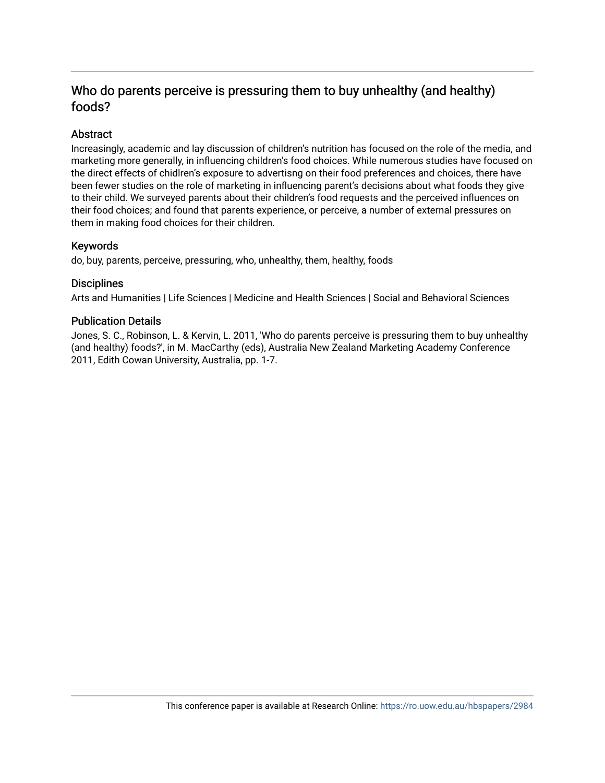## Who do parents perceive is pressuring them to buy unhealthy (and healthy) foods?

## Abstract

Increasingly, academic and lay discussion of children's nutrition has focused on the role of the media, and marketing more generally, in influencing children's food choices. While numerous studies have focused on the direct effects of chidlren's exposure to advertisng on their food preferences and choices, there have been fewer studies on the role of marketing in influencing parent's decisions about what foods they give to their child. We surveyed parents about their children's food requests and the perceived influences on their food choices; and found that parents experience, or perceive, a number of external pressures on them in making food choices for their children.

## Keywords

do, buy, parents, perceive, pressuring, who, unhealthy, them, healthy, foods

## **Disciplines**

Arts and Humanities | Life Sciences | Medicine and Health Sciences | Social and Behavioral Sciences

## Publication Details

Jones, S. C., Robinson, L. & Kervin, L. 2011, 'Who do parents perceive is pressuring them to buy unhealthy (and healthy) foods?', in M. MacCarthy (eds), Australia New Zealand Marketing Academy Conference 2011, Edith Cowan University, Australia, pp. 1-7.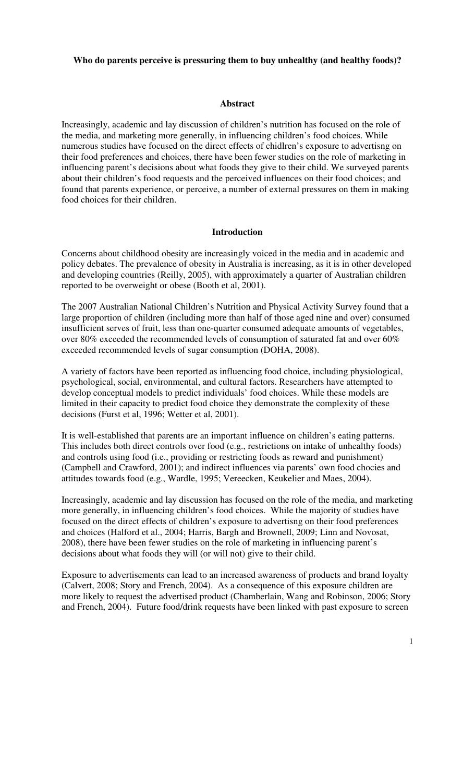## **Who do parents perceive is pressuring them to buy unhealthy (and healthy foods)?**

#### **Abstract**

Increasingly, academic and lay discussion of children's nutrition has focused on the role of the media, and marketing more generally, in influencing children's food choices. While numerous studies have focused on the direct effects of chidlren's exposure to advertisng on their food preferences and choices, there have been fewer studies on the role of marketing in influencing parent's decisions about what foods they give to their child. We surveyed parents about their children's food requests and the perceived influences on their food choices; and found that parents experience, or perceive, a number of external pressures on them in making food choices for their children.

#### **Introduction**

Concerns about childhood obesity are increasingly voiced in the media and in academic and policy debates. The prevalence of obesity in Australia is increasing, as it is in other developed and developing countries (Reilly, 2005), with approximately a quarter of Australian children reported to be overweight or obese (Booth et al, 2001).

The 2007 Australian National Children's Nutrition and Physical Activity Survey found that a large proportion of children (including more than half of those aged nine and over) consumed insufficient serves of fruit, less than one-quarter consumed adequate amounts of vegetables, over 80% exceeded the recommended levels of consumption of saturated fat and over 60% exceeded recommended levels of sugar consumption (DOHA, 2008).

A variety of factors have been reported as influencing food choice, including physiological, psychological, social, environmental, and cultural factors. Researchers have attempted to develop conceptual models to predict individuals' food choices. While these models are limited in their capacity to predict food choice they demonstrate the complexity of these decisions (Furst et al, 1996; Wetter et al, 2001).

It is well-established that parents are an important influence on children's eating patterns. This includes both direct controls over food (e.g., restrictions on intake of unhealthy foods) and controls using food (i.e., providing or restricting foods as reward and punishment) (Campbell and Crawford, 2001); and indirect influences via parents' own food chocies and attitudes towards food (e.g., Wardle, 1995; Vereecken, Keukelier and Maes, 2004).

Increasingly, academic and lay discussion has focused on the role of the media, and marketing more generally, in influencing children's food choices. While the majority of studies have focused on the direct effects of children's exposure to advertisng on their food preferences and choices (Halford et al., 2004; Harris, Bargh and Brownell, 2009; Linn and Novosat, 2008), there have been fewer studies on the role of marketing in influencing parent's decisions about what foods they will (or will not) give to their child.

Exposure to advertisements can lead to an increased awareness of products and brand loyalty (Calvert, 2008; Story and French, 2004). As a consequence of this exposure children are more likely to request the advertised product (Chamberlain, Wang and Robinson, 2006; Story and French, 2004). Future food/drink requests have been linked with past exposure to screen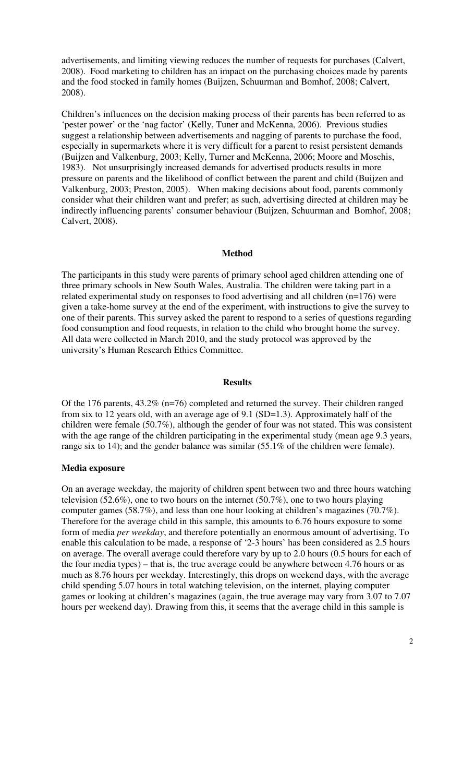advertisements, and limiting viewing reduces the number of requests for purchases (Calvert, 2008). Food marketing to children has an impact on the purchasing choices made by parents and the food stocked in family homes (Buijzen, Schuurman and Bomhof, 2008; Calvert, 2008).

Children's influences on the decision making process of their parents has been referred to as 'pester power' or the 'nag factor' (Kelly, Tuner and McKenna, 2006). Previous studies suggest a relationship between advertisements and nagging of parents to purchase the food, especially in supermarkets where it is very difficult for a parent to resist persistent demands (Buijzen and Valkenburg, 2003; Kelly, Turner and McKenna, 2006; Moore and Moschis, 1983). Not unsurprisingly increased demands for advertised products results in more pressure on parents and the likelihood of conflict between the parent and child (Buijzen and Valkenburg, 2003; Preston, 2005). When making decisions about food, parents commonly consider what their children want and prefer; as such, advertising directed at children may be indirectly influencing parents' consumer behaviour (Buijzen, Schuurman and Bomhof, 2008; Calvert, 2008).

## **Method**

The participants in this study were parents of primary school aged children attending one of three primary schools in New South Wales, Australia. The children were taking part in a related experimental study on responses to food advertising and all children (n=176) were given a take-home survey at the end of the experiment, with instructions to give the survey to one of their parents. This survey asked the parent to respond to a series of questions regarding food consumption and food requests, in relation to the child who brought home the survey. All data were collected in March 2010, and the study protocol was approved by the university's Human Research Ethics Committee.

### **Results**

Of the 176 parents, 43.2% (n=76) completed and returned the survey. Their children ranged from six to 12 years old, with an average age of 9.1 (SD=1.3). Approximately half of the children were female (50.7%), although the gender of four was not stated. This was consistent with the age range of the children participating in the experimental study (mean age 9.3 years, range six to 14); and the gender balance was similar (55.1% of the children were female).

### **Media exposure**

On an average weekday, the majority of children spent between two and three hours watching television (52.6%), one to two hours on the internet (50.7%), one to two hours playing computer games (58.7%), and less than one hour looking at children's magazines (70.7%). Therefore for the average child in this sample, this amounts to 6.76 hours exposure to some form of media *per weekday*, and therefore potentially an enormous amount of advertising. To enable this calculation to be made, a response of '2-3 hours' has been considered as 2.5 hours on average. The overall average could therefore vary by up to 2.0 hours (0.5 hours for each of the four media types) – that is, the true average could be anywhere between 4.76 hours or as much as 8.76 hours per weekday. Interestingly, this drops on weekend days, with the average child spending 5.07 hours in total watching television, on the internet, playing computer games or looking at children's magazines (again, the true average may vary from 3.07 to 7.07 hours per weekend day). Drawing from this, it seems that the average child in this sample is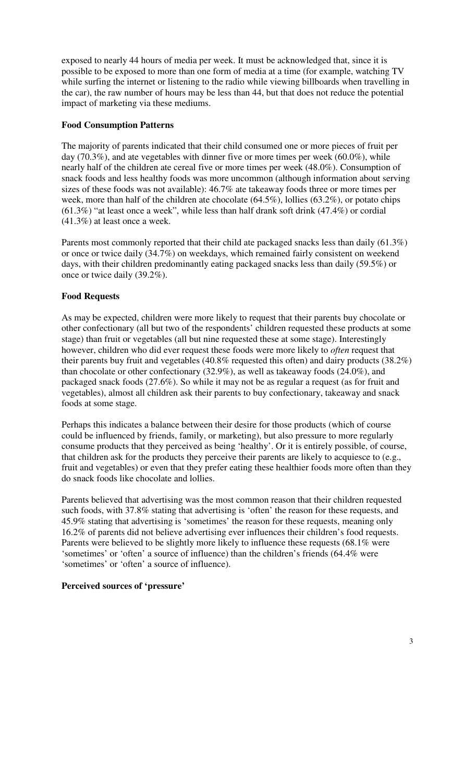exposed to nearly 44 hours of media per week. It must be acknowledged that, since it is possible to be exposed to more than one form of media at a time (for example, watching TV while surfing the internet or listening to the radio while viewing billboards when travelling in the car), the raw number of hours may be less than 44, but that does not reduce the potential impact of marketing via these mediums.

## **Food Consumption Patterns**

The majority of parents indicated that their child consumed one or more pieces of fruit per day (70.3%), and ate vegetables with dinner five or more times per week (60.0%), while nearly half of the children ate cereal five or more times per week (48.0%). Consumption of snack foods and less healthy foods was more uncommon (although information about serving sizes of these foods was not available): 46.7% ate takeaway foods three or more times per week, more than half of the children ate chocolate (64.5%), lollies (63.2%), or potato chips  $(61.3\%)$  "at least once a week", while less than half drank soft drink  $(47.4\%)$  or cordial (41.3%) at least once a week.

Parents most commonly reported that their child ate packaged snacks less than daily (61.3%) or once or twice daily (34.7%) on weekdays, which remained fairly consistent on weekend days, with their children predominantly eating packaged snacks less than daily (59.5%) or once or twice daily (39.2%).

## **Food Requests**

As may be expected, children were more likely to request that their parents buy chocolate or other confectionary (all but two of the respondents' children requested these products at some stage) than fruit or vegetables (all but nine requested these at some stage). Interestingly however, children who did ever request these foods were more likely to *often* request that their parents buy fruit and vegetables (40.8% requested this often) and dairy products (38.2%) than chocolate or other confectionary (32.9%), as well as takeaway foods (24.0%), and packaged snack foods (27.6%). So while it may not be as regular a request (as for fruit and vegetables), almost all children ask their parents to buy confectionary, takeaway and snack foods at some stage.

Perhaps this indicates a balance between their desire for those products (which of course could be influenced by friends, family, or marketing), but also pressure to more regularly consume products that they perceived as being 'healthy'. Or it is entirely possible, of course, that children ask for the products they perceive their parents are likely to acquiesce to (e.g., fruit and vegetables) or even that they prefer eating these healthier foods more often than they do snack foods like chocolate and lollies.

Parents believed that advertising was the most common reason that their children requested such foods, with 37.8% stating that advertising is 'often' the reason for these requests, and 45.9% stating that advertising is 'sometimes' the reason for these requests, meaning only 16.2% of parents did not believe advertising ever influences their children's food requests. Parents were believed to be slightly more likely to influence these requests (68.1% were 'sometimes' or 'often' a source of influence) than the children's friends (64.4% were 'sometimes' or 'often' a source of influence).

## **Perceived sources of 'pressure'**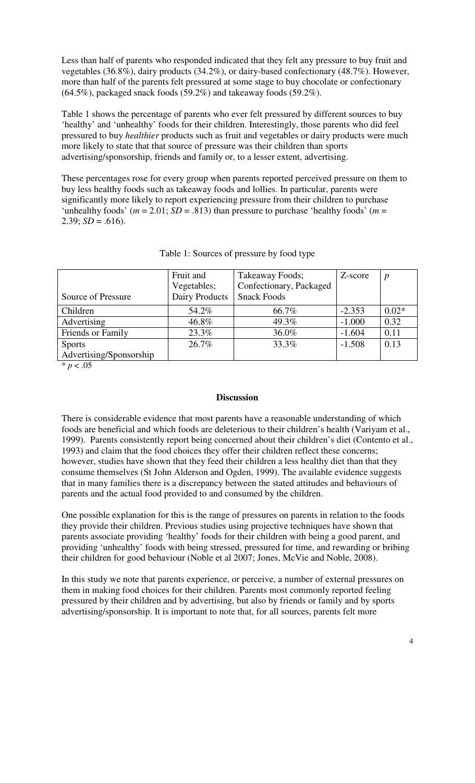Less than half of parents who responded indicated that they felt any pressure to buy fruit and vegetables (36.8%), dairy products (34.2%), or dairy-based confectionary (48.7%). However, more than half of the parents felt pressured at some stage to buy chocolate or confectionary (64.5%), packaged snack foods (59.2%) and takeaway foods (59.2%).

Table 1 shows the percentage of parents who ever felt pressured by different sources to buy 'healthy' and 'unhealthy' foods for their children. Interestingly, those parents who did feel pressured to buy *healthier* products such as fruit and vegetables or dairy products were much more likely to state that that source of pressure was their children than sports advertising/sponsorship, friends and family or, to a lesser extent, advertising.

These percentages rose for every group when parents reported perceived pressure on them to buy less healthy foods such as takeaway foods and lollies. In particular, parents were significantly more likely to report experiencing pressure from their children to purchase 'unhealthy foods' ( $m = 2.01$ ; *SD* = .813) than pressure to purchase 'healthy foods' ( $m =$ 2.39;  $SD = .616$ ).

| Source of Pressure      | Fruit and<br>Vegetables;<br>Dairy Products | Takeaway Foods;<br>Confectionary, Packaged<br><b>Snack Foods</b> | Z-score  | $\boldsymbol{p}$ |
|-------------------------|--------------------------------------------|------------------------------------------------------------------|----------|------------------|
| Children                | 54.2%                                      | 66.7%                                                            | $-2.353$ | $0.02*$          |
| Advertising             | 46.8%                                      | 49.3%                                                            | $-1.000$ | 0.32             |
| Friends or Family       | 23.3%                                      | 36.0%                                                            | $-1.604$ | 0.11             |
| <b>Sports</b>           | 26.7%                                      | 33.3%                                                            | $-1.508$ | 0.13             |
| Advertising/Sponsorship |                                            |                                                                  |          |                  |

|  | Table 1: Sources of pressure by food type |  |  |  |  |  |  |
|--|-------------------------------------------|--|--|--|--|--|--|
|--|-------------------------------------------|--|--|--|--|--|--|

 $* p < .05$ 

## **Discussion**

There is considerable evidence that most parents have a reasonable understanding of which foods are beneficial and which foods are deleterious to their children's health (Variyam et al., 1999). Parents consistently report being concerned about their children's diet (Contento et al., 1993) and claim that the food choices they offer their children reflect these concerns; however, studies have shown that they feed their children a less healthy diet than that they consume themselves (St John Alderson and Ogden, 1999). The available evidence suggests that in many families there is a discrepancy between the stated attitudes and behaviours of parents and the actual food provided to and consumed by the children.

One possible explanation for this is the range of pressures on parents in relation to the foods they provide their children. Previous studies using projective techniques have shown that parents associate providing 'healthy' foods for their children with being a good parent, and providing 'unhealthy' foods with being stressed, pressured for time, and rewarding or bribing their children for good behaviour (Noble et al 2007; Jones, McVie and Noble, 2008).

In this study we note that parents experience, or perceive, a number of external pressures on them in making food choices for their children. Parents most commonly reported feeling pressured by their children and by advertising, but also by friends or family and by sports advertising/sponsorship. It is important to note that, for all sources, parents felt more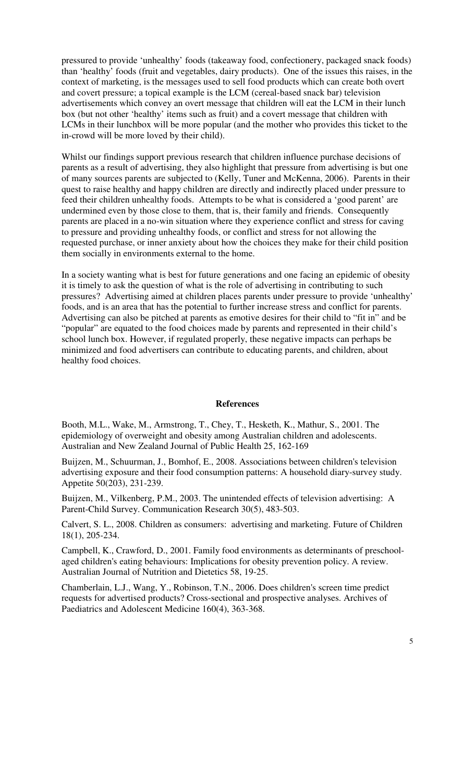pressured to provide 'unhealthy' foods (takeaway food, confectionery, packaged snack foods) than 'healthy' foods (fruit and vegetables, dairy products). One of the issues this raises, in the context of marketing, is the messages used to sell food products which can create both overt and covert pressure; a topical example is the LCM (cereal-based snack bar) television advertisements which convey an overt message that children will eat the LCM in their lunch box (but not other 'healthy' items such as fruit) and a covert message that children with LCMs in their lunchbox will be more popular (and the mother who provides this ticket to the in-crowd will be more loved by their child).

Whilst our findings support previous research that children influence purchase decisions of parents as a result of advertising, they also highlight that pressure from advertising is but one of many sources parents are subjected to (Kelly, Tuner and McKenna, 2006). Parents in their quest to raise healthy and happy children are directly and indirectly placed under pressure to feed their children unhealthy foods. Attempts to be what is considered a 'good parent' are undermined even by those close to them, that is, their family and friends. Consequently parents are placed in a no-win situation where they experience conflict and stress for caving to pressure and providing unhealthy foods, or conflict and stress for not allowing the requested purchase, or inner anxiety about how the choices they make for their child position them socially in environments external to the home.

In a society wanting what is best for future generations and one facing an epidemic of obesity it is timely to ask the question of what is the role of advertising in contributing to such pressures? Advertising aimed at children places parents under pressure to provide 'unhealthy' foods, and is an area that has the potential to further increase stress and conflict for parents. Advertising can also be pitched at parents as emotive desires for their child to "fit in" and be "popular" are equated to the food choices made by parents and represented in their child's school lunch box. However, if regulated properly, these negative impacts can perhaps be minimized and food advertisers can contribute to educating parents, and children, about healthy food choices.

#### **References**

Booth, M.L., Wake, M., Armstrong, T., Chey, T., Hesketh, K., Mathur, S., 2001. The epidemiology of overweight and obesity among Australian children and adolescents. Australian and New Zealand Journal of Public Health 25, 162-169

Buijzen, M., Schuurman, J., Bomhof, E., 2008. Associations between children's television advertising exposure and their food consumption patterns: A household diary-survey study. Appetite 50(203), 231-239.

Buijzen, M., Vilkenberg, P.M., 2003. The unintended effects of television advertising: A Parent-Child Survey. Communication Research 30(5), 483-503.

Calvert, S. L., 2008. Children as consumers: advertising and marketing. Future of Children 18(1), 205-234.

Campbell, K., Crawford, D., 2001. Family food environments as determinants of preschoolaged children's eating behaviours: Implications for obesity prevention policy. A review. Australian Journal of Nutrition and Dietetics 58, 19-25.

Chamberlain, L.J., Wang, Y., Robinson, T.N., 2006. Does children's screen time predict requests for advertised products? Cross-sectional and prospective analyses. Archives of Paediatrics and Adolescent Medicine 160(4), 363-368.